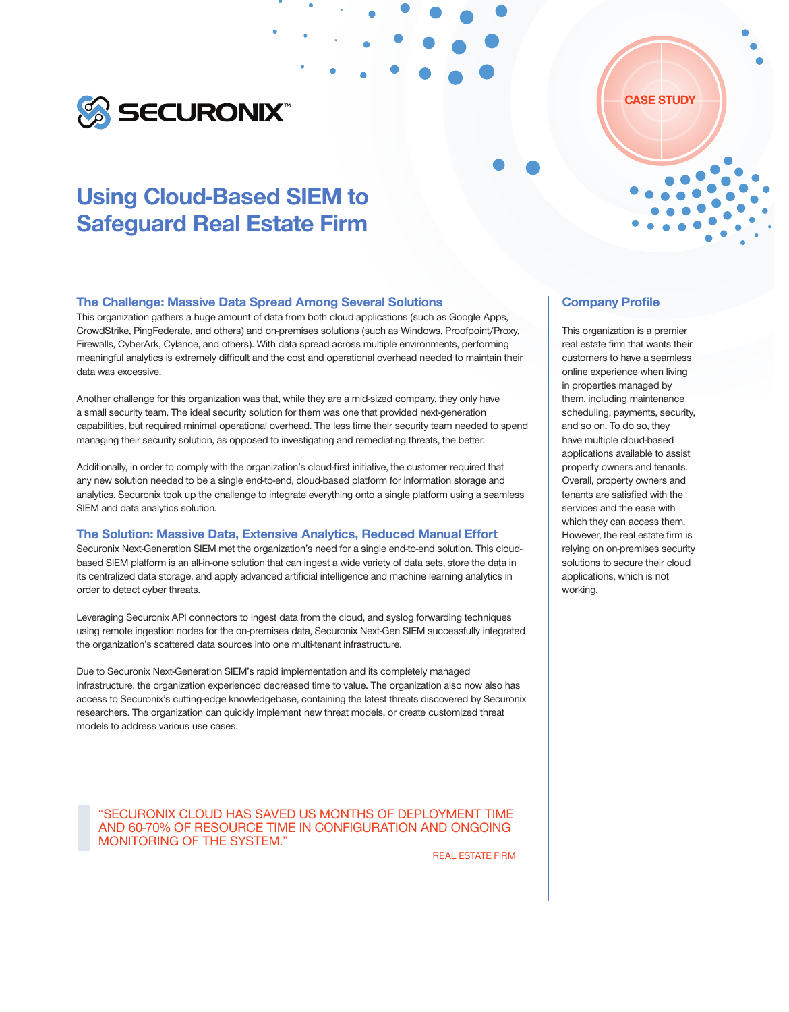

# Using Cloud-Based SIEM to Safeguard Real Estate Firm

#### The Challenge: Massive Data Spread Among Several Solutions

This organization gathers a huge amount of data from both cloud applications (such as Google Apps, CrowdStrike, PingFederate, and others) and on-premises solutions (such as Windows, Proofpoint/Proxy, Firewalls, CyberArk, Cylance, and others). With data spread across multiple environments, performing meaningful analytics is extremely difficult and the cost and operational overhead needed to maintain their data was excessive.

Another challenge for this organization was that, while they are a mid-sized company, they only have a small security team. The ideal security solution for them was one that provided next-generation capabilities, but required minimal operational overhead. The less time their security team needed to spend managing their security solution, as opposed to investigating and remediating threats, the better.

Additionally, in order to comply with the organization's cloud-first initiative, the customer required that any new solution needed to be a single end-to-end, cloud-based platform for information storage and analytics. Securonix took up the challenge to integrate everything onto a single platform using a seamless SIEM and data analytics solution.

#### The Solution: Massive Data, Extensive Analytics, Reduced Manual Effort

Securonix Next-Generation SIEM met the organization's need for a single end-to-end solution. This cloudbased SIEM platform is an all-in-one solution that can ingest a wide variety of data sets, store the data in its centralized data storage, and apply advanced artificial intelligence and machine learning analytics in order to detect cyber threats.

Leveraging Securonix API connectors to ingest data from the cloud, and syslog forwarding techniques using remote ingestion nodes for the on-premises data, Securonix Next-Gen SIEM successfully integrated the organization's scattered data sources into one multi-tenant infrastructure.

Due to Securonix Next-Generation SIEM's rapid implementation and its completely managed infrastructure, the organization experienced decreased time to value. The organization also now also has access to Securonix's cutting-edge knowledgebase, containing the latest threats discovered by Securonix researchers. The organization can quickly implement new threat models, or create customized threat models to address various use cases.

"SECURONIX CLOUD HAS SAVED US MONTHS OF DEPLOYMENT TIME AND 60-70% OF RESOURCE TIME IN CONFIGURATION AND ONGOING MONITORING OF THE SYSTEM."

REAL ESTATE FIRM

### Company Profile

This organization is a premier real estate firm that wants their customers to have a seamless online experience when living in properties managed by them, including maintenance scheduling, payments, security, and so on. To do so, they have multiple cloud-based applications available to assist property owners and tenants. Overall, property owners and tenants are satisfied with the services and the ease with which they can access them. However, the real estate firm is relying on on-premises security solutions to secure their cloud applications, which is not working.

CASE STUDY